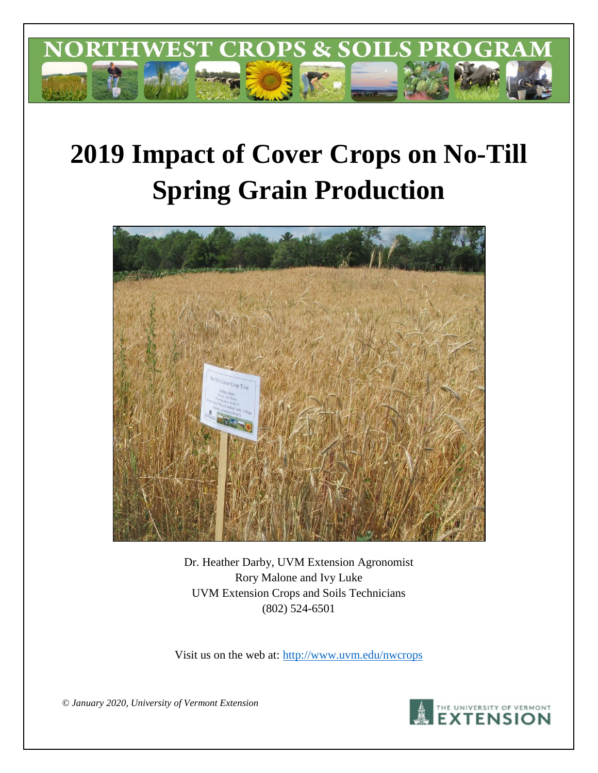

# **2019 Impact of Cover Crops on No-Till Spring Grain Production**



Dr. Heather Darby, UVM Extension Agronomist Rory Malone and Ivy Luke UVM Extension Crops and Soils Technicians (802) 524-6501

Visit us on the web at:<http://www.uvm.edu/nwcrops>

*© January 2020, University of Vermont Extension* 

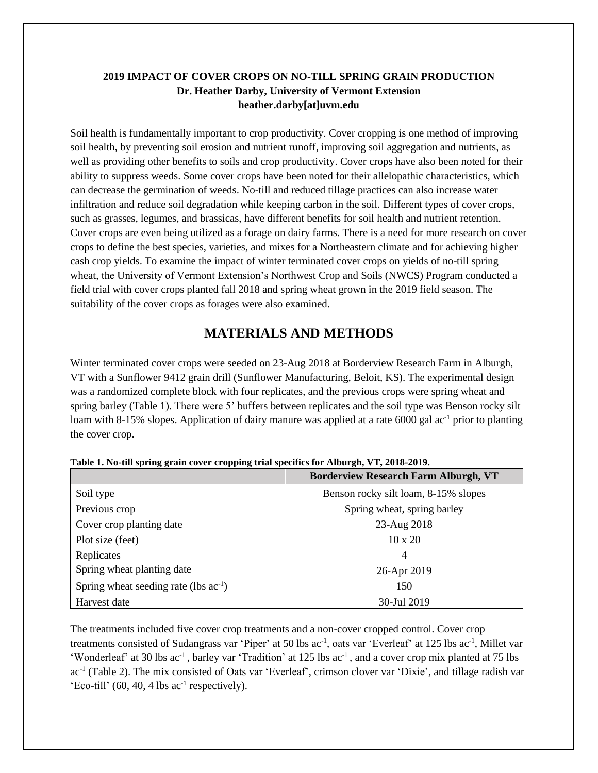### **2019 IMPACT OF COVER CROPS ON NO-TILL SPRING GRAIN PRODUCTION Dr. Heather Darby, University of Vermont Extension heather.darby[at]uvm.edu**

Soil health is fundamentally important to crop productivity. Cover cropping is one method of improving soil health, by preventing soil erosion and nutrient runoff, improving soil aggregation and nutrients, as well as providing other benefits to soils and crop productivity. Cover crops have also been noted for their ability to suppress weeds. Some cover crops have been noted for their allelopathic characteristics, which can decrease the germination of weeds. No-till and reduced tillage practices can also increase water infiltration and reduce soil degradation while keeping carbon in the soil. Different types of cover crops, such as grasses, legumes, and brassicas, have different benefits for soil health and nutrient retention. Cover crops are even being utilized as a forage on dairy farms. There is a need for more research on cover crops to define the best species, varieties, and mixes for a Northeastern climate and for achieving higher cash crop yields. To examine the impact of winter terminated cover crops on yields of no-till spring wheat, the University of Vermont Extension's Northwest Crop and Soils (NWCS) Program conducted a field trial with cover crops planted fall 2018 and spring wheat grown in the 2019 field season. The suitability of the cover crops as forages were also examined.

## **MATERIALS AND METHODS**

Winter terminated cover crops were seeded on 23-Aug 2018 at Borderview Research Farm in Alburgh, VT with a Sunflower 9412 grain drill (Sunflower Manufacturing, Beloit, KS). The experimental design was a randomized complete block with four replicates, and the previous crops were spring wheat and spring barley (Table 1). There were 5' buffers between replicates and the soil type was Benson rocky silt loam with 8-15% slopes. Application of dairy manure was applied at a rate 6000 gal ac<sup>-1</sup> prior to planting the cover crop.

|                                            | <b>Borderview Research Farm Alburgh, VT</b> |
|--------------------------------------------|---------------------------------------------|
| Soil type                                  | Benson rocky silt loam, 8-15% slopes        |
| Previous crop                              | Spring wheat, spring barley                 |
| Cover crop planting date                   | 23-Aug 2018                                 |
| Plot size (feet)                           | $10 \times 20$                              |
| Replicates                                 | $\overline{4}$                              |
| Spring wheat planting date                 | 26-Apr 2019                                 |
| Spring wheat seeding rate (lbs $ac^{-1}$ ) | 150                                         |
| Harvest date                               | 30-Jul 2019                                 |

| Table 1. No-till spring grain cover cropping trial specifics for Alburgh, VT, 2018-2019. |  |  |  |
|------------------------------------------------------------------------------------------|--|--|--|
|                                                                                          |  |  |  |

The treatments included five cover crop treatments and a non-cover cropped control. Cover crop treatments consisted of Sudangrass var 'Piper' at 50 lbs ac<sup>-1</sup>, oats var 'Everleaf' at 125 lbs ac<sup>-1</sup>, Millet var 'Wonderleaf' at 30 lbs ac<sup>-1</sup>, barley var 'Tradition' at 125 lbs ac<sup>-1</sup>, and a cover crop mix planted at 75 lbs ac<sup>-1</sup> (Table 2). The mix consisted of Oats var 'Everleaf', crimson clover var 'Dixie', and tillage radish var 'Eco-till'  $(60, 40, 4$  lbs ac<sup>-1</sup> respectively).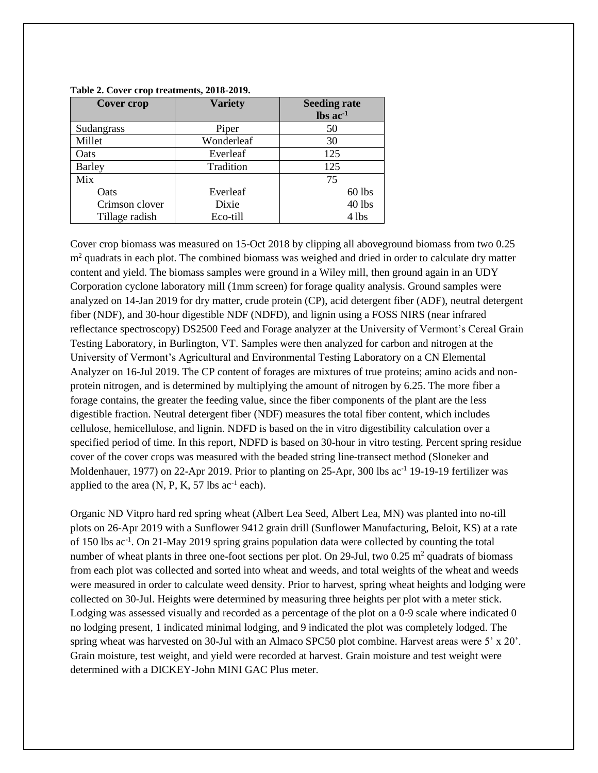| Cover crop     | <b>Variety</b> | <b>Seeding rate</b><br>$\text{lbs}$ ac <sup>-1</sup> |
|----------------|----------------|------------------------------------------------------|
| Sudangrass     | Piper          | 50                                                   |
| Millet         | Wonderleaf     | 30                                                   |
| Oats           | Everleaf       | 125                                                  |
| <b>Barley</b>  | Tradition      | 125                                                  |
| Mix            |                | 75                                                   |
| Oats           | Everleaf       | $60$ lbs                                             |
| Crimson clover | Dixie          | 40 lbs                                               |
| Tillage radish | Eco-till       | 4 lbs                                                |

#### **Table 2. Cover crop treatments, 2018-2019.**

Cover crop biomass was measured on 15-Oct 2018 by clipping all aboveground biomass from two 0.25 m<sup>2</sup> quadrats in each plot. The combined biomass was weighed and dried in order to calculate dry matter content and yield. The biomass samples were ground in a Wiley mill, then ground again in an UDY Corporation cyclone laboratory mill (1mm screen) for forage quality analysis. Ground samples were analyzed on 14-Jan 2019 for dry matter, crude protein (CP), acid detergent fiber (ADF), neutral detergent fiber (NDF), and 30-hour digestible NDF (NDFD), and lignin using a FOSS NIRS (near infrared reflectance spectroscopy) DS2500 Feed and Forage analyzer at the University of Vermont's Cereal Grain Testing Laboratory, in Burlington, VT. Samples were then analyzed for carbon and nitrogen at the University of Vermont's Agricultural and Environmental Testing Laboratory on a CN Elemental Analyzer on 16-Jul 2019. The CP content of forages are mixtures of true proteins; amino acids and nonprotein nitrogen, and is determined by multiplying the amount of nitrogen by 6.25. The more fiber a forage contains, the greater the feeding value, since the fiber components of the plant are the less digestible fraction. Neutral detergent fiber (NDF) measures the total fiber content, which includes cellulose, hemicellulose, and lignin. NDFD is based on the in vitro digestibility calculation over a specified period of time. In this report, NDFD is based on 30-hour in vitro testing. Percent spring residue cover of the cover crops was measured with the beaded string line-transect method (Sloneker and Moldenhauer, 1977) on 22-Apr 2019. Prior to planting on 25-Apr, 300 lbs ac<sup>-1</sup> 19-19-19 fertilizer was applied to the area  $(N, P, K, 57 \text{ lbs } ac^{-1} \text{ each}).$ 

Organic ND Vitpro hard red spring wheat (Albert Lea Seed, Albert Lea, MN) was planted into no-till plots on 26-Apr 2019 with a Sunflower 9412 grain drill (Sunflower Manufacturing, Beloit, KS) at a rate of 150 lbs ac<sup>-1</sup>. On 21-May 2019 spring grains population data were collected by counting the total number of wheat plants in three one-foot sections per plot. On 29-Jul, two 0.25  $\mathrm{m}^2$  quadrats of biomass from each plot was collected and sorted into wheat and weeds, and total weights of the wheat and weeds were measured in order to calculate weed density. Prior to harvest, spring wheat heights and lodging were collected on 30-Jul. Heights were determined by measuring three heights per plot with a meter stick. Lodging was assessed visually and recorded as a percentage of the plot on a 0-9 scale where indicated 0 no lodging present, 1 indicated minimal lodging, and 9 indicated the plot was completely lodged. The spring wheat was harvested on 30-Jul with an Almaco SPC50 plot combine. Harvest areas were 5' x 20'. Grain moisture, test weight, and yield were recorded at harvest. Grain moisture and test weight were determined with a DICKEY-John MINI GAC Plus meter.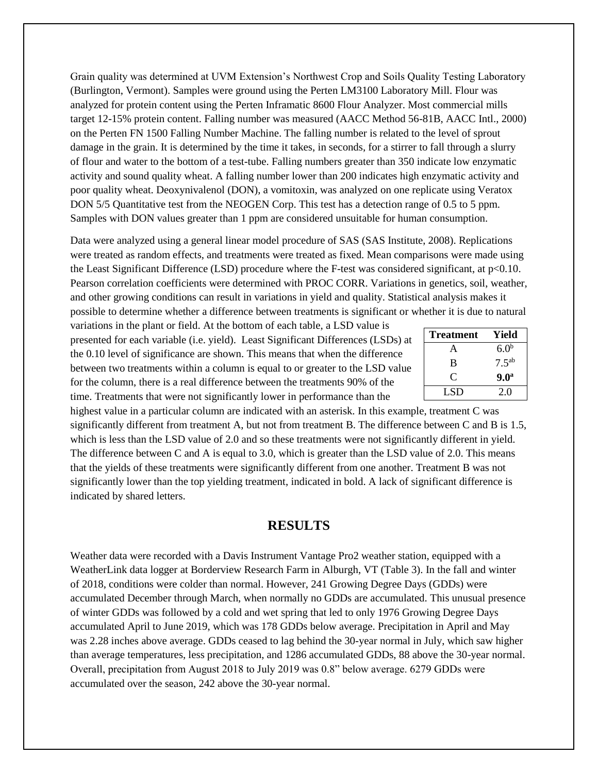Grain quality was determined at UVM Extension's Northwest Crop and Soils Quality Testing Laboratory (Burlington, Vermont). Samples were ground using the Perten LM3100 Laboratory Mill. Flour was analyzed for protein content using the Perten Inframatic 8600 Flour Analyzer. Most commercial mills target 12-15% protein content. Falling number was measured (AACC Method 56-81B, AACC Intl., 2000) on the Perten FN 1500 Falling Number Machine. The falling number is related to the level of sprout damage in the grain. It is determined by the time it takes, in seconds, for a stirrer to fall through a slurry of flour and water to the bottom of a test-tube. Falling numbers greater than 350 indicate low enzymatic activity and sound quality wheat. A falling number lower than 200 indicates high enzymatic activity and poor quality wheat. Deoxynivalenol (DON), a vomitoxin, was analyzed on one replicate using Veratox DON 5/5 Quantitative test from the NEOGEN Corp. This test has a detection range of 0.5 to 5 ppm. Samples with DON values greater than 1 ppm are considered unsuitable for human consumption.

Data were analyzed using a general linear model procedure of SAS (SAS Institute, 2008). Replications were treated as random effects, and treatments were treated as fixed. Mean comparisons were made using the Least Significant Difference (LSD) procedure where the F-test was considered significant, at p<0.10. Pearson correlation coefficients were determined with PROC CORR. Variations in genetics, soil, weather, and other growing conditions can result in variations in yield and quality. Statistical analysis makes it possible to determine whether a difference between treatments is significant or whether it is due to natural

variations in the plant or field. At the bottom of each table, a LSD value is presented for each variable (i.e. yield). Least Significant Differences (LSDs) at the 0.10 level of significance are shown. This means that when the difference between two treatments within a column is equal to or greater to the LSD value for the column, there is a real difference between the treatments 90% of the time. Treatments that were not significantly lower in performance than the

| <b>Treatment</b> | Yield            |
|------------------|------------------|
| А                | 6.0 <sup>b</sup> |
| B                | $7.5^{ab}$       |
| C                | 9.0 <sup>a</sup> |
| LSD.             | 2.0              |

highest value in a particular column are indicated with an asterisk. In this example, treatment C was significantly different from treatment A, but not from treatment B. The difference between C and B is 1.5, which is less than the LSD value of 2.0 and so these treatments were not significantly different in yield. The difference between C and A is equal to 3.0, which is greater than the LSD value of 2.0. This means that the yields of these treatments were significantly different from one another. Treatment B was not significantly lower than the top yielding treatment, indicated in bold. A lack of significant difference is indicated by shared letters.

#### **RESULTS**

Weather data were recorded with a Davis Instrument Vantage Pro2 weather station, equipped with a WeatherLink data logger at Borderview Research Farm in Alburgh, VT (Table 3). In the fall and winter of 2018, conditions were colder than normal. However, 241 Growing Degree Days (GDDs) were accumulated December through March, when normally no GDDs are accumulated. This unusual presence of winter GDDs was followed by a cold and wet spring that led to only 1976 Growing Degree Days accumulated April to June 2019, which was 178 GDDs below average. Precipitation in April and May was 2.28 inches above average. GDDs ceased to lag behind the 30-year normal in July, which saw higher than average temperatures, less precipitation, and 1286 accumulated GDDs, 88 above the 30-year normal. Overall, precipitation from August 2018 to July 2019 was 0.8" below average. 6279 GDDs were accumulated over the season, 242 above the 30-year normal.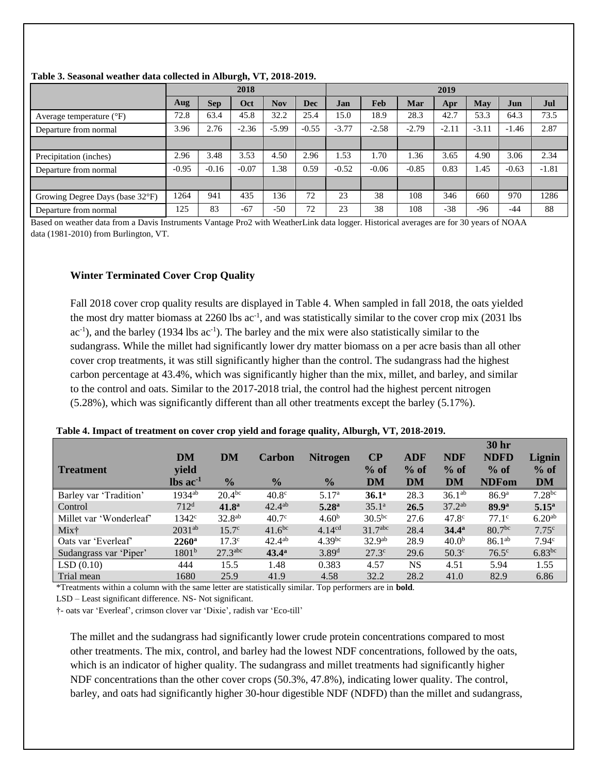|                                   | 2018    |            |         |            | 2019       |         |         |         |         |         |         |         |
|-----------------------------------|---------|------------|---------|------------|------------|---------|---------|---------|---------|---------|---------|---------|
|                                   | Aug     | <b>Sep</b> | Oct     | <b>Nov</b> | <b>Dec</b> | Jan     | Feb     | Mar     | Apr     | May     | Jun     | Jul     |
| Average temperature $(^{\circ}F)$ | 72.8    | 63.4       | 45.8    | 32.2       | 25.4       | 15.0    | 18.9    | 28.3    | 42.7    | 53.3    | 64.3    | 73.5    |
| Departure from normal             | 3.96    | 2.76       | $-2.36$ | $-5.99$    | $-0.55$    | $-3.77$ | $-2.58$ | $-2.79$ | $-2.11$ | $-3.11$ | $-1.46$ | 2.87    |
|                                   |         |            |         |            |            |         |         |         |         |         |         |         |
| Precipitation (inches)            | 2.96    | 3.48       | 3.53    | 4.50       | 2.96       | 1.53    | 1.70    | .36     | 3.65    | 4.90    | 3.06    | 2.34    |
| Departure from normal             | $-0.95$ | $-0.16$    | $-0.07$ | 1.38       | 0.59       | $-0.52$ | $-0.06$ | $-0.85$ | 0.83    | 1.45    | $-0.63$ | $-1.81$ |
|                                   |         |            |         |            |            |         |         |         |         |         |         |         |
| Growing Degree Days (base 32°F)   | 1264    | 941        | 435     | 136        | 72         | 23      | 38      | 108     | 346     | 660     | 970     | 1286    |
| Departure from normal             | 25      | 83         | $-67$   | $-50$      | 72         | 23      | 38      | 108     | $-38$   | $-96$   | $-44$   | 88      |

#### **Table 3. Seasonal weather data collected in Alburgh, VT, 2018-2019.**

Based on weather data from a Davis Instruments Vantage Pro2 with WeatherLink data logger. Historical averages are for 30 years of NOAA data (1981-2010) from Burlington, VT.

#### **Winter Terminated Cover Crop Quality**

Fall 2018 cover crop quality results are displayed in Table 4. When sampled in fall 2018, the oats yielded the most dry matter biomass at 2260 lbs ac<sup>-1</sup>, and was statistically similar to the cover crop mix (2031 lbs  $ac^{-1}$ ), and the barley (1934 lbs  $ac^{-1}$ ). The barley and the mix were also statistically similar to the sudangrass. While the millet had significantly lower dry matter biomass on a per acre basis than all other cover crop treatments, it was still significantly higher than the control. The sudangrass had the highest carbon percentage at 43.4%, which was significantly higher than the mix, millet, and barley, and similar to the control and oats. Similar to the 2017-2018 trial, the control had the highest percent nitrogen (5.28%), which was significantly different than all other treatments except the barley (5.17%).

|                         |                                  |                       |                    |                    |                     |            |                   | <b>30 hr</b>       |                    |
|-------------------------|----------------------------------|-----------------------|--------------------|--------------------|---------------------|------------|-------------------|--------------------|--------------------|
|                         | DM                               | DM                    | <b>Carbon</b>      | <b>Nitrogen</b>    | $\bf CP$            | <b>ADF</b> | <b>NDF</b>        | <b>NDFD</b>        | Lignin             |
| <b>Treatment</b>        | yield                            |                       |                    |                    | $%$ of              | $%$ of     | $%$ of            | $%$ of             | $%$ of             |
|                         | $\mathbf{lbs}\ \mathbf{ac}^{-1}$ | $\frac{0}{2}$         | $\frac{0}{0}$      | $\frac{0}{2}$      | DM                  | <b>DM</b>  | DM                | <b>NDFom</b>       | <b>DM</b>          |
| Barley var 'Tradition'  | $1934^{ab}$                      | 20.4 <sup>bc</sup>    | 40.8 <sup>c</sup>  | 5.17 <sup>a</sup>  | 36.1 <sup>a</sup>   | 28.3       | $36.1^{ab}$       | 86.9 <sup>a</sup>  | $7.28^{bc}$        |
| Control                 | 712 <sup>d</sup>                 | 41.8 <sup>a</sup>     | $42.4^{ab}$        | 5.28 <sup>a</sup>  | 35.1 <sup>a</sup>   | 26.5       | $37.2^{ab}$       | 89.9 <sup>a</sup>  | 5.15 <sup>a</sup>  |
| Millet var 'Wonderleaf' | 1342 <sup>c</sup>                | 32.8 <sup>ab</sup>    | 40.7 <sup>c</sup>  | 4.60 <sup>b</sup>  | $30.5^{bc}$         | 27.6       | $47.8^{\circ}$    | $77.1^{\circ}$     | 6.20 <sup>ab</sup> |
| Mix†                    | $2031^{ab}$                      | 15.7 <sup>c</sup>     | 41.6 <sup>bc</sup> | 4.14 <sup>cd</sup> | 31.7 <sup>abc</sup> | 28.4       | $34.4^a$          | 80.7 <sup>bc</sup> | 7.75c              |
| Oats var 'Everleaf'     | $2260$ <sup>a</sup>              | $17.3^{\circ}$        | $42.4^{ab}$        | $4.39^{bc}$        | 32.9 <sup>ab</sup>  | 28.9       | 40.0 <sup>b</sup> | $86.1^{ab}$        | 7.94 <sup>c</sup>  |
| Sudangrass var 'Piper'  | $1801^{b}$                       | $27.3$ <sup>abc</sup> | $43.4^{\circ}$     | 3.89 <sup>d</sup>  | 27.3 <sup>c</sup>   | 29.6       | 50.3 <sup>c</sup> | $76.5^\circ$       | $6.83^{bc}$        |
| LSD(0.10)               | 444                              | 15.5                  | 1.48               | 0.383              | 4.57                | <b>NS</b>  | 4.51              | 5.94               | 1.55               |
| Trial mean              | 1680                             | 25.9                  | 41.9               | 4.58               | 32.2                | 28.2       | 41.0              | 82.9               | 6.86               |

#### **Table 4. Impact of treatment on cover crop yield and forage quality, Alburgh, VT, 2018-2019.**

\*Treatments within a column with the same letter are statistically similar. Top performers are in **bold**.

LSD – Least significant difference. NS- Not significant.

†- oats var 'Everleaf', crimson clover var 'Dixie', radish var 'Eco-till'

The millet and the sudangrass had significantly lower crude protein concentrations compared to most other treatments. The mix, control, and barley had the lowest NDF concentrations, followed by the oats, which is an indicator of higher quality. The sudangrass and millet treatments had significantly higher NDF concentrations than the other cover crops (50.3%, 47.8%), indicating lower quality. The control, barley, and oats had significantly higher 30-hour digestible NDF (NDFD) than the millet and sudangrass,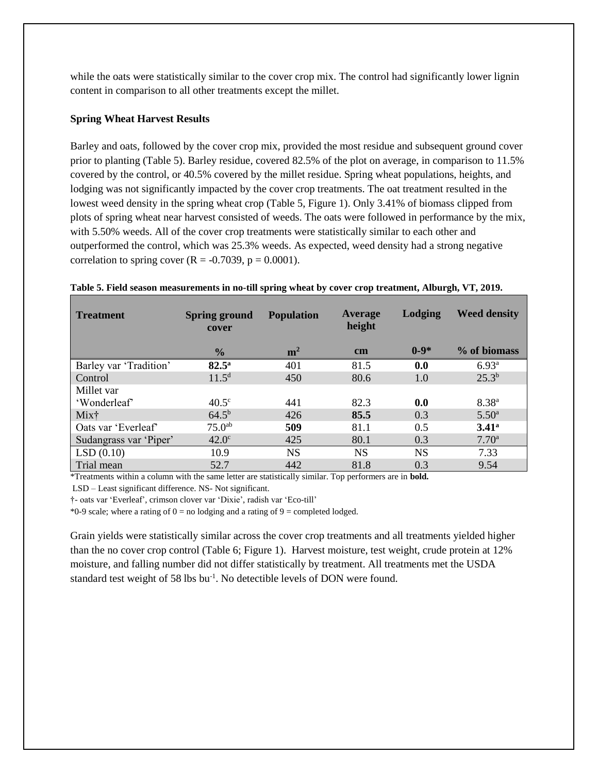while the oats were statistically similar to the cover crop mix. The control had significantly lower lignin content in comparison to all other treatments except the millet.

#### **Spring Wheat Harvest Results**

Barley and oats, followed by the cover crop mix, provided the most residue and subsequent ground cover prior to planting (Table 5). Barley residue, covered 82.5% of the plot on average, in comparison to 11.5% covered by the control, or 40.5% covered by the millet residue. Spring wheat populations, heights, and lodging was not significantly impacted by the cover crop treatments. The oat treatment resulted in the lowest weed density in the spring wheat crop (Table 5, Figure 1). Only 3.41% of biomass clipped from plots of spring wheat near harvest consisted of weeds. The oats were followed in performance by the mix, with 5.50% weeds. All of the cover crop treatments were statistically similar to each other and outperformed the control, which was 25.3% weeds. As expected, weed density had a strong negative correlation to spring cover  $(R = -0.7039, p = 0.0001)$ .

| <b>Treatment</b>       | <b>Spring ground</b><br>cover | <b>Population</b> | Average<br>height | <b>Lodging</b> | <b>Weed density</b> |
|------------------------|-------------------------------|-------------------|-------------------|----------------|---------------------|
|                        | $\frac{1}{2}$                 | m <sup>2</sup>    | $\mathbf{cm}$     | $0 - 9*$       | % of biomass        |
| Barley var 'Tradition' | $82.5^{\circ}$                | 401               | 81.5              | 0.0            | 6.93 <sup>a</sup>   |
| Control                | 11.5 <sup>d</sup>             | 450               | 80.6              | 1.0            | $25.3^{b}$          |
| Millet var             |                               |                   |                   |                |                     |
| 'Wonderleaf'           | $40.5^{\circ}$                | 441               | 82.3              | 0.0            | $8.38^{a}$          |
| Mix <sup>†</sup>       | $64.5^{b}$                    | 426               | 85.5              | 0.3            | $5.50^{\rm a}$      |
| Oats var 'Everleaf'    | 75.0 <sup>ab</sup>            | 509               | 81.1              | 0.5            | 3.41 <sup>a</sup>   |
| Sudangrass var 'Piper' | $42.0^\circ$                  | 425               | 80.1              | 0.3            | 7.70 <sup>a</sup>   |
| LSD(0.10)              | 10.9                          | <b>NS</b>         | NS                | <b>NS</b>      | 7.33                |
| Trial mean             | 52.7                          | 442               | 81.8              | 0.3            | 9.54                |

#### **Table 5. Field season measurements in no-till spring wheat by cover crop treatment, Alburgh, VT, 2019.**

\*Treatments within a column with the same letter are statistically similar. Top performers are in **bold.**

LSD – Least significant difference. NS- Not significant.

†- oats var 'Everleaf', crimson clover var 'Dixie', radish var 'Eco-till'

\*0-9 scale; where a rating of  $0 =$  no lodging and a rating of  $9 =$  completed lodged.

Grain yields were statistically similar across the cover crop treatments and all treatments yielded higher than the no cover crop control (Table 6; Figure 1). Harvest moisture, test weight, crude protein at 12% moisture, and falling number did not differ statistically by treatment. All treatments met the USDA standard test weight of 58 lbs bu<sup>-1</sup>. No detectible levels of DON were found.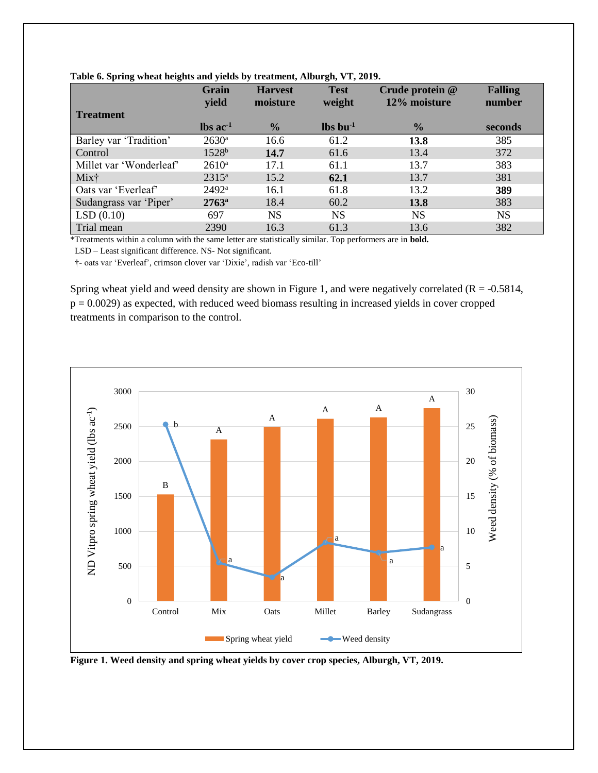|                         | Grain<br>yield                | <b>Harvest</b><br>moisture | <b>Test</b><br>weight | Crude protein @<br>12% moisture | <b>Falling</b><br>number |
|-------------------------|-------------------------------|----------------------------|-----------------------|---------------------------------|--------------------------|
| <b>Treatment</b>        |                               |                            |                       |                                 |                          |
|                         | $\text{lbs}$ ac <sup>-1</sup> | $\frac{0}{2}$              | $\ln 1$               | $\frac{6}{9}$                   | seconds                  |
| Barley var 'Tradition'  | $2630^{\rm a}$                | 16.6                       | 61.2                  | 13.8                            | 385                      |
| Control                 | $1528^b$                      | 14.7                       | 61.6                  | 13.4                            | 372                      |
| Millet var 'Wonderleaf' | $2610^a$                      | 17.1                       | 61.1                  | 13.7                            | 383                      |
| Mix†                    | $2315^a$                      | 15.2                       | 62.1                  | 13.7                            | 381                      |
| Oats var 'Everleaf'     | $2492^{\rm a}$                | 16.1                       | 61.8                  | 13.2                            | 389                      |
| Sudangrass var 'Piper'  | $2763^{\rm a}$                | 18.4                       | 60.2                  | 13.8                            | 383                      |
| LSD(0.10)               | 697                           | <b>NS</b>                  | <b>NS</b>             | <b>NS</b>                       | <b>NS</b>                |
| Trial mean              | 2390                          | 16.3                       | 61.3                  | 13.6                            | 382                      |

#### **Table 6. Spring wheat heights and yields by treatment, Alburgh, VT, 2019.**

\*Treatments within a column with the same letter are statistically similar. Top performers are in **bold.**

LSD – Least significant difference. NS- Not significant.

†- oats var 'Everleaf', crimson clover var 'Dixie', radish var 'Eco-till'

Spring wheat yield and weed density are shown in Figure 1, and were negatively correlated ( $R = -0.5814$ ,  $p = 0.0029$ ) as expected, with reduced weed biomass resulting in increased yields in cover cropped treatments in comparison to the control.



**Figure 1. Weed density and spring wheat yields by cover crop species, Alburgh, VT, 2019.**